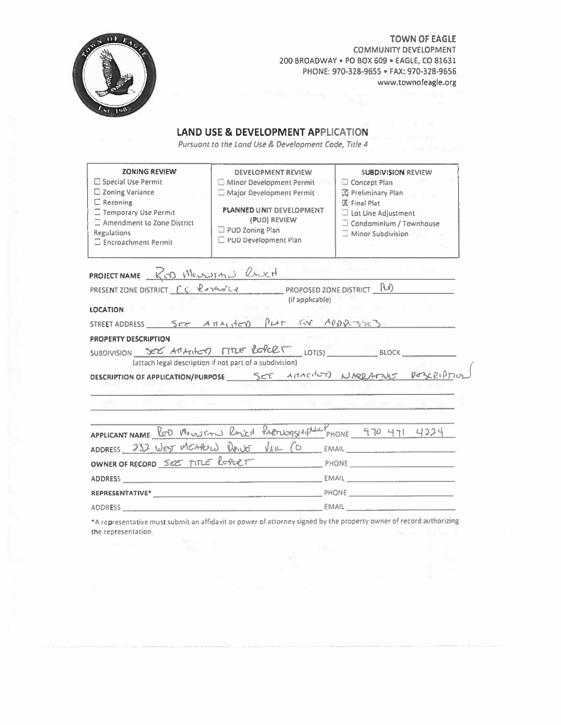

**TOWN OF EAGLE COMMUNITY DEVELOPMENT** 200 BROADWAY . PO BOX 609 . EAGLE, CO 81631 PHONE: 970-328-9655 · FAX: 970-328-9656 www.townofeagle.org

## **LAND USE & DEVELOPMENT APPLICATION**

Pursuant to the Land Use & Development Code, Title 4

| <b>ZONING REVIEW</b><br>Special Use Permit<br>□ Zoning Variance<br><b>El Rezoning</b><br><b>Temporary Use Permit</b><br>Amendment to Zone District<br><b>Regulations</b><br><b>Exercischment Permit</b> | <b>DEVELOPMENT REVIEW</b><br>Minor Development Permit<br>Major Development Permit<br>PLANNED UNIT DEVELOPMENT<br>(PUD) REVIEW<br>$\Box$ PUD Zoning Plan<br>PUD Development Plan | <b>SUBDIVISION REVIEW</b><br>Concept Plan<br>图 Preliminary Plan<br>见 Final Plat<br>$\Box$ Lot Line Adjustment<br>Condominium / Townhouse<br><b>Ninor Subdivision</b> |  |  |  |
|---------------------------------------------------------------------------------------------------------------------------------------------------------------------------------------------------------|---------------------------------------------------------------------------------------------------------------------------------------------------------------------------------|----------------------------------------------------------------------------------------------------------------------------------------------------------------------|--|--|--|
| PROJECT NAME ROD MOUNDING RACH                                                                                                                                                                          |                                                                                                                                                                                 |                                                                                                                                                                      |  |  |  |
|                                                                                                                                                                                                         | PRESENT ZONE DISTRICT EC CONSERVATION PROPOSED ZONE DISTRICT [ RU)                                                                                                              |                                                                                                                                                                      |  |  |  |
|                                                                                                                                                                                                         | (if applicable)                                                                                                                                                                 |                                                                                                                                                                      |  |  |  |
| LOCATION <b>FIL</b>                                                                                                                                                                                     |                                                                                                                                                                                 |                                                                                                                                                                      |  |  |  |
|                                                                                                                                                                                                         | STREET ADDRESS SCE ATTACHED PLAT FOR ADDRESSES                                                                                                                                  |                                                                                                                                                                      |  |  |  |
| <b>PROPERTY DESCRIPTION</b>                                                                                                                                                                             |                                                                                                                                                                                 |                                                                                                                                                                      |  |  |  |
|                                                                                                                                                                                                         | SUBDIVISION SEE ATTACHED FITLE REPORT LOTIS) BLOCK                                                                                                                              |                                                                                                                                                                      |  |  |  |
|                                                                                                                                                                                                         | (attach legal description if not part of a subdivision)                                                                                                                         |                                                                                                                                                                      |  |  |  |
|                                                                                                                                                                                                         | DESCRIPTION OF APPLICATION/PURPOSE ______ SET ANTACHEDY NARDANNE DEBCEIPTION                                                                                                    |                                                                                                                                                                      |  |  |  |
|                                                                                                                                                                                                         |                                                                                                                                                                                 |                                                                                                                                                                      |  |  |  |
|                                                                                                                                                                                                         |                                                                                                                                                                                 |                                                                                                                                                                      |  |  |  |
|                                                                                                                                                                                                         |                                                                                                                                                                                 |                                                                                                                                                                      |  |  |  |
|                                                                                                                                                                                                         | APPLICANT NAME ROD MOULTAN RACTIONSHIPLE PHONE 970 471 4224                                                                                                                     |                                                                                                                                                                      |  |  |  |
|                                                                                                                                                                                                         | ADDRESS 232 West MEAROW DRIVE VAIL CO EMAIL                                                                                                                                     |                                                                                                                                                                      |  |  |  |
|                                                                                                                                                                                                         | OWNER OF RECORD SEE TITLE ROPORT                                                                                                                                                |                                                                                                                                                                      |  |  |  |
|                                                                                                                                                                                                         |                                                                                                                                                                                 |                                                                                                                                                                      |  |  |  |
|                                                                                                                                                                                                         |                                                                                                                                                                                 |                                                                                                                                                                      |  |  |  |
|                                                                                                                                                                                                         |                                                                                                                                                                                 |                                                                                                                                                                      |  |  |  |
|                                                                                                                                                                                                         | . The company of the company of the company of the company of the company of the company of the company of the                                                                  |                                                                                                                                                                      |  |  |  |

\*A representative must submit an affidavit or power of attorney signed by the property owner of record authorizing the representation.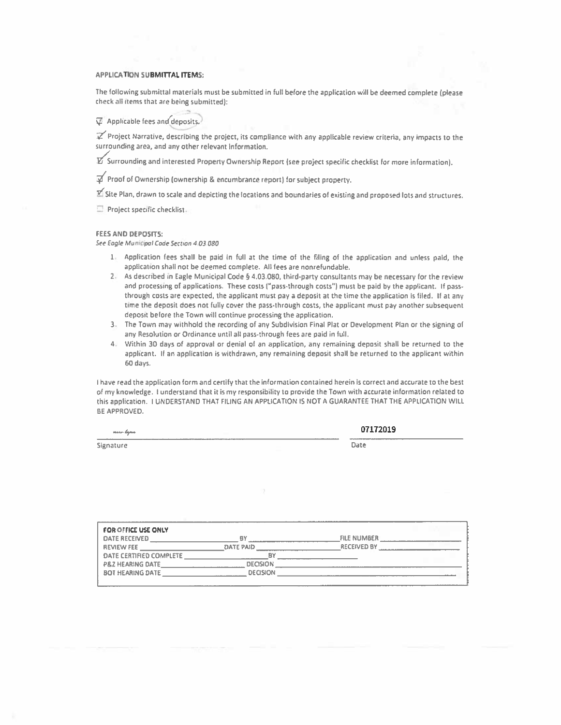### **APPLICATION SUBMITTAL ITEMS:**

The following submittal materials must be submitted in full before the application will be deemed complete (please check all items that are being submitted):

<sup>1</sup> Applicable fees and deposits.

Project Narrative, describing the project, its compliance with any applicable review criteria, any impacts to the surrounding area, and any other relevant information.

 $\mathbb Z$  Surrounding and interested Property Ownership Report (see project specific checklist for more information),

of Proof of Ownership (ownership & encumbrance report) for subject property.

 $\mathbb Z$  Site Plan, drawn to scale and depicting the locations and boundaries of existing and proposed lots and structures.

Project specific checklist.

#### **FEES AND DEPOSITS:**

See Eagle Municipal Code Section 4.03.080

- 1. Application fees shall be paid in full at the time of the filing of the application and unless paid, the application shall not be deemed complete. All fees are nonrefundable.
- 2. As described in Eagle Municipal Code § 4.03.080, third-party consultants may be necessary for the review and processing of applications. These costs ("pass-through costs") must be paid by the applicant. If passthrough costs are expected, the applicant must pay a deposit at the time the application is filed. If at any time the deposit does not fully cover the pass-through costs, the applicant must pay another subsequent deposit before the Town will continue processing the application.
- 3. The Town may withhold the recording of any Subdivision Final Plat or Development Plan or the signing of any Resolution or Ordinance until all pass-through fees are paid in full.
- 4. Within 30 days of approval or denial of an application, any remaining deposit shall be returned to the applicant. If an application is withdrawn, any remaining deposit shall be returned to the applicant within 60 days.

I have read the application form and certify that the information contained herein is correct and accurate to the best of my knowledge. I understand that it is my responsibility to provide the Town with accurate information related to this application. I UNDERSTAND THAT FILING AN APPLICATION IS NOT A GUARANTEE THAT THE APPLICATION WILL BE APPROVED.

07172019

Signature

| -- | ___ |  |
|----|-----|--|
|    |     |  |

| <b>FOR OFFICE USE ONLY</b>  |                  |                    |  |
|-----------------------------|------------------|--------------------|--|
| <b>DATE RECEIVED</b>        | B)               | <b>FILE NUMBER</b> |  |
| <b>REVIEW FEE</b>           | <b>DATE PAID</b> | <b>RECEIVED BY</b> |  |
| DATE CERTIFIED COMPLETE     |                  |                    |  |
| <b>P&amp;Z HEARING DATE</b> | <b>DECISION</b>  |                    |  |
| <b>BOT HEARING DATE</b>     | <b>DECISION</b>  |                    |  |
|                             |                  |                    |  |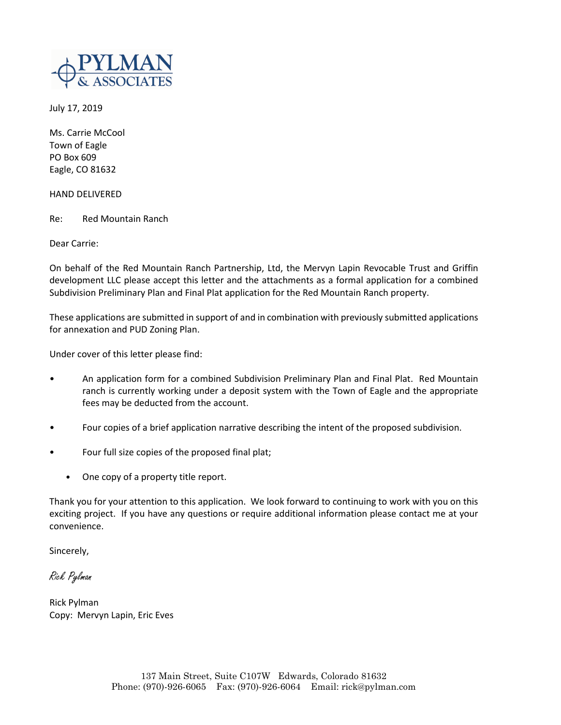

July 17, 2019

Ms. Carrie McCool Town of Eagle PO Box 609 Eagle, CO 81632

HAND DELIVERED

Re: Red Mountain Ranch

Dear Carrie:

On behalf of the Red Mountain Ranch Partnership, Ltd, the Mervyn Lapin Revocable Trust and Griffin development LLC please accept this letter and the attachments as a formal application for a combined Subdivision Preliminary Plan and Final Plat application for the Red Mountain Ranch property.

These applications are submitted in support of and in combination with previously submitted applications for annexation and PUD Zoning Plan.

Under cover of this letter please find:

- An application form for a combined Subdivision Preliminary Plan and Final Plat. Red Mountain ranch is currently working under a deposit system with the Town of Eagle and the appropriate fees may be deducted from the account.
- Four copies of a brief application narrative describing the intent of the proposed subdivision.
- Four full size copies of the proposed final plat;
	- One copy of a property title report.

Thank you for your attention to this application. We look forward to continuing to work with you on this exciting project. If you have any questions or require additional information please contact me at your convenience.

Sincerely,

Rick Pylman

Rick Pylman Copy: Mervyn Lapin, Eric Eves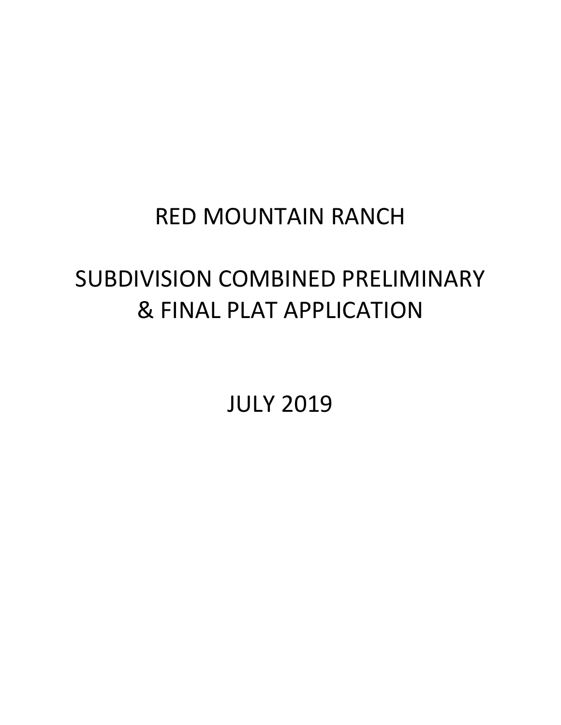## RED MOUNTAIN RANCH

# SUBDIVISION COMBINED PRELIMINARY & FINAL PLAT APPLICATION

JULY 2019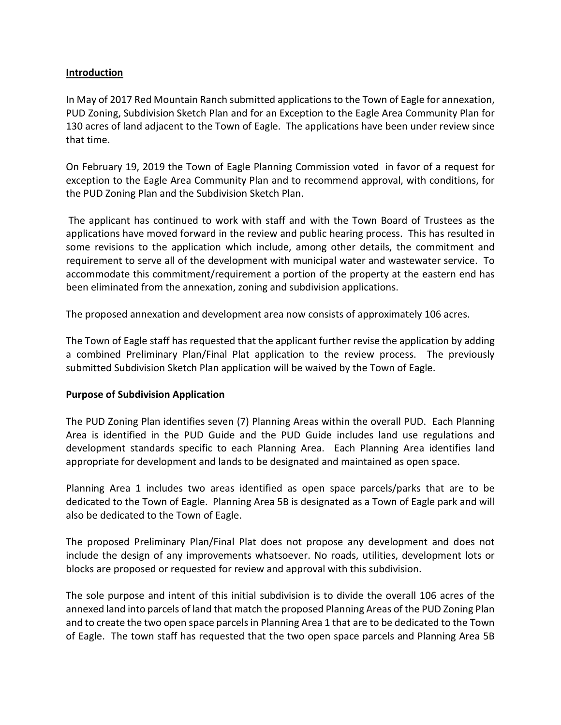### **Introduction**

In May of 2017 Red Mountain Ranch submitted applications to the Town of Eagle for annexation, PUD Zoning, Subdivision Sketch Plan and for an Exception to the Eagle Area Community Plan for 130 acres of land adjacent to the Town of Eagle. The applications have been under review since that time.

On February 19, 2019 the Town of Eagle Planning Commission voted in favor of a request for exception to the Eagle Area Community Plan and to recommend approval, with conditions, for the PUD Zoning Plan and the Subdivision Sketch Plan.

The applicant has continued to work with staff and with the Town Board of Trustees as the applications have moved forward in the review and public hearing process. This has resulted in some revisions to the application which include, among other details, the commitment and requirement to serve all of the development with municipal water and wastewater service. To accommodate this commitment/requirement a portion of the property at the eastern end has been eliminated from the annexation, zoning and subdivision applications.

The proposed annexation and development area now consists of approximately 106 acres.

The Town of Eagle staff has requested that the applicant further revise the application by adding a combined Preliminary Plan/Final Plat application to the review process. The previously submitted Subdivision Sketch Plan application will be waived by the Town of Eagle.

### **Purpose of Subdivision Application**

The PUD Zoning Plan identifies seven (7) Planning Areas within the overall PUD. Each Planning Area is identified in the PUD Guide and the PUD Guide includes land use regulations and development standards specific to each Planning Area. Each Planning Area identifies land appropriate for development and lands to be designated and maintained as open space.

Planning Area 1 includes two areas identified as open space parcels/parks that are to be dedicated to the Town of Eagle. Planning Area 5B is designated as a Town of Eagle park and will also be dedicated to the Town of Eagle.

The proposed Preliminary Plan/Final Plat does not propose any development and does not include the design of any improvements whatsoever. No roads, utilities, development lots or blocks are proposed or requested for review and approval with this subdivision.

The sole purpose and intent of this initial subdivision is to divide the overall 106 acres of the annexed land into parcels of land that match the proposed Planning Areas of the PUD Zoning Plan and to create the two open space parcels in Planning Area 1 that are to be dedicated to the Town of Eagle. The town staff has requested that the two open space parcels and Planning Area 5B